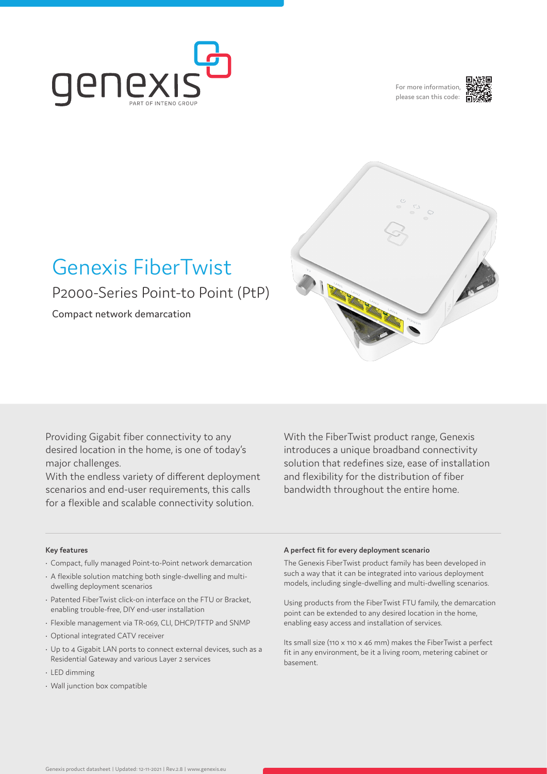

For more information please scan this code:





# Genexis FiberTwist P2000-Series Point-to Point (PtP)

Compact network demarcation

Providing Gigabit fiber connectivity to any desired location in the home, is one of today's major challenges.

With the endless variety of different deployment scenarios and end-user requirements, this calls for a flexible and scalable connectivity solution.

With the FiberTwist product range, Genexis introduces a unique broadband connectivity solution that redefines size, ease of installation and flexibility for the distribution of fiber bandwidth throughout the entire home.

## **Key features**

- Compact, fully managed Point-to-Point network demarcation
- A flexible solution matching both single-dwelling and multidwelling deployment scenarios
- Patented FiberTwist click-on interface on the FTU or Bracket, enabling trouble-free, DIY end-user installation
- Flexible management via TR-069, CLI, DHCP/TFTP and SNMP
- Optional integrated CATV receiver
- Up to 4 Gigabit LAN ports to connect external devices, such as a Residential Gateway and various Layer 2 services
- LED dimming
- Wall junction box compatible

#### **A perfect fit for every deployment scenario**

The Genexis FiberTwist product family has been developed in such a way that it can be integrated into various deployment models, including single-dwelling and multi-dwelling scenarios.

Using products from the FiberTwist FTU family, the demarcation point can be extended to any desired location in the home, enabling easy access and installation of services.

Its small size (110 x 110 x 46 mm) makes the FiberTwist a perfect fit in any environment, be it a living room, metering cabinet or basement.